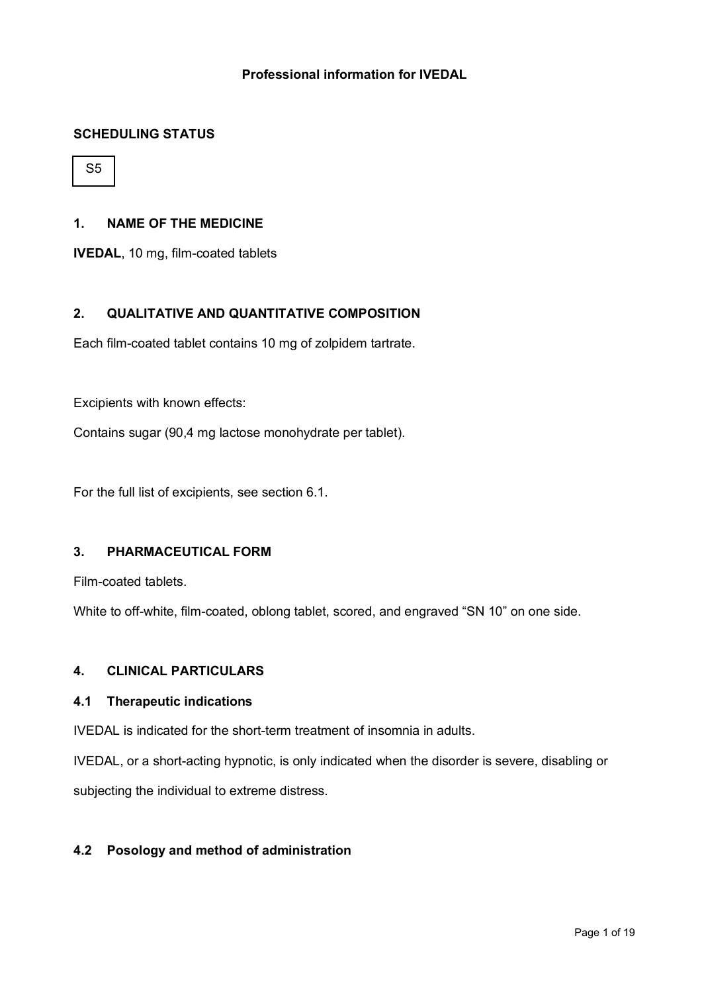# **Professional information for IVEDAL**

### **SCHEDULING STATUS**

S5

### **1. NAME OF THE MEDICINE**

**IVEDAL**, 10 mg, film-coated tablets

### **2. QUALITATIVE AND QUANTITATIVE COMPOSITION**

Each film-coated tablet contains 10 mg of zolpidem tartrate.

Excipients with known effects:

Contains sugar (90,4 mg lactose monohydrate per tablet).

For the full list of excipients, see section 6.1.

# **3. PHARMACEUTICAL FORM**

Film-coated tablets.

White to off-white, film-coated, oblong tablet, scored, and engraved "SN 10" on one side.

### **4. CLINICAL PARTICULARS**

#### **4.1 Therapeutic indications**

IVEDAL is indicated for the short-term treatment of insomnia in adults.

IVEDAL, or a short-acting hypnotic, is only indicated when the disorder is severe, disabling or subjecting the individual to extreme distress.

### **4.2 Posology and method of administration**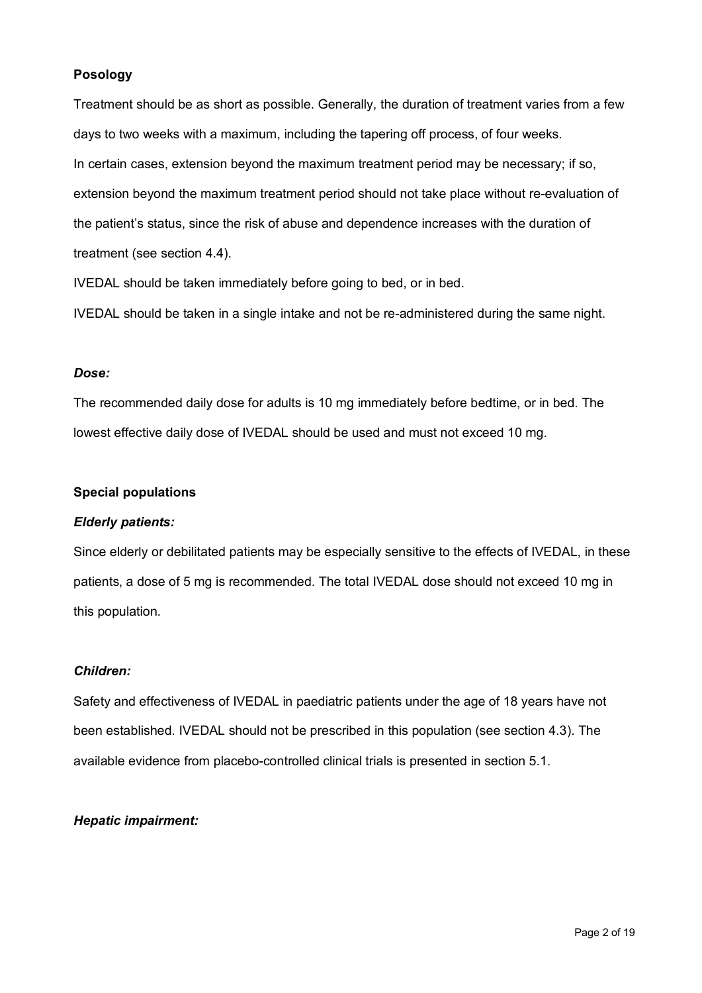# **Posology**

Treatment should be as short as possible. Generally, the duration of treatment varies from a few days to two weeks with a maximum, including the tapering off process, of four weeks. In certain cases, extension beyond the maximum treatment period may be necessary; if so, extension beyond the maximum treatment period should not take place without re-evaluation of the patient's status, since the risk of abuse and dependence increases with the duration of treatment (see section 4.4).

IVEDAL should be taken immediately before going to bed, or in bed.

IVEDAL should be taken in a single intake and not be re-administered during the same night.

#### *Dose:*

The recommended daily dose for adults is 10 mg immediately before bedtime, or in bed. The lowest effective daily dose of IVEDAL should be used and must not exceed 10 mg.

#### **Special populations**

### *Elderly patients:*

Since elderly or debilitated patients may be especially sensitive to the effects of IVEDAL, in these patients, a dose of 5 mg is recommended. The total IVEDAL dose should not exceed 10 mg in this population.

### *Children:*

Safety and effectiveness of IVEDAL in paediatric patients under the age of 18 years have not been established. IVEDAL should not be prescribed in this population (see section 4.3). The available evidence from placebo-controlled clinical trials is presented in section 5.1.

### *Hepatic impairment:*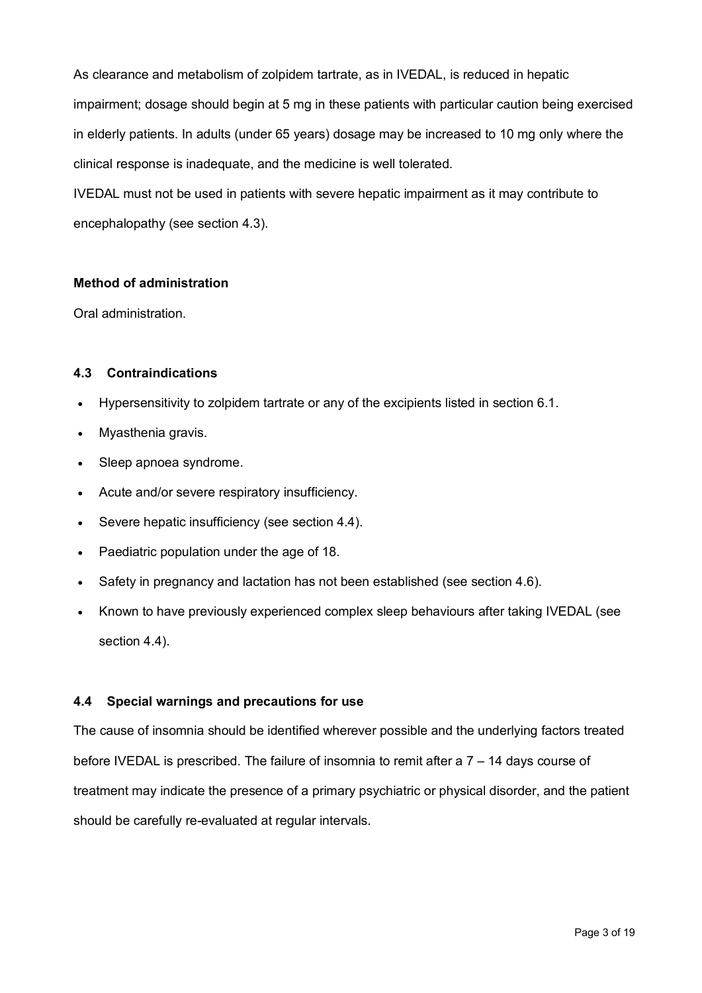As clearance and metabolism of zolpidem tartrate, as in IVEDAL, is reduced in hepatic impairment; dosage should begin at 5 mg in these patients with particular caution being exercised in elderly patients. In adults (under 65 years) dosage may be increased to 10 mg only where the clinical response is inadequate, and the medicine is well tolerated.

IVEDAL must not be used in patients with severe hepatic impairment as it may contribute to encephalopathy (see section 4.3).

# **Method of administration**

Oral administration.

# **4.3 Contraindications**

- Hypersensitivity to zolpidem tartrate or any of the excipients listed in section 6.1.
- Myasthenia gravis.
- Sleep apnoea syndrome.
- Acute and/or severe respiratory insufficiency.
- Severe hepatic insufficiency (see section 4.4).
- Paediatric population under the age of 18.
- Safety in pregnancy and lactation has not been established (see section 4.6).
- Known to have previously experienced complex sleep behaviours after taking IVEDAL (see section 4.4).

# **4.4 Special warnings and precautions for use**

The cause of insomnia should be identified wherever possible and the underlying factors treated before IVEDAL is prescribed. The failure of insomnia to remit after a 7 – 14 days course of treatment may indicate the presence of a primary psychiatric or physical disorder, and the patient should be carefully re-evaluated at regular intervals.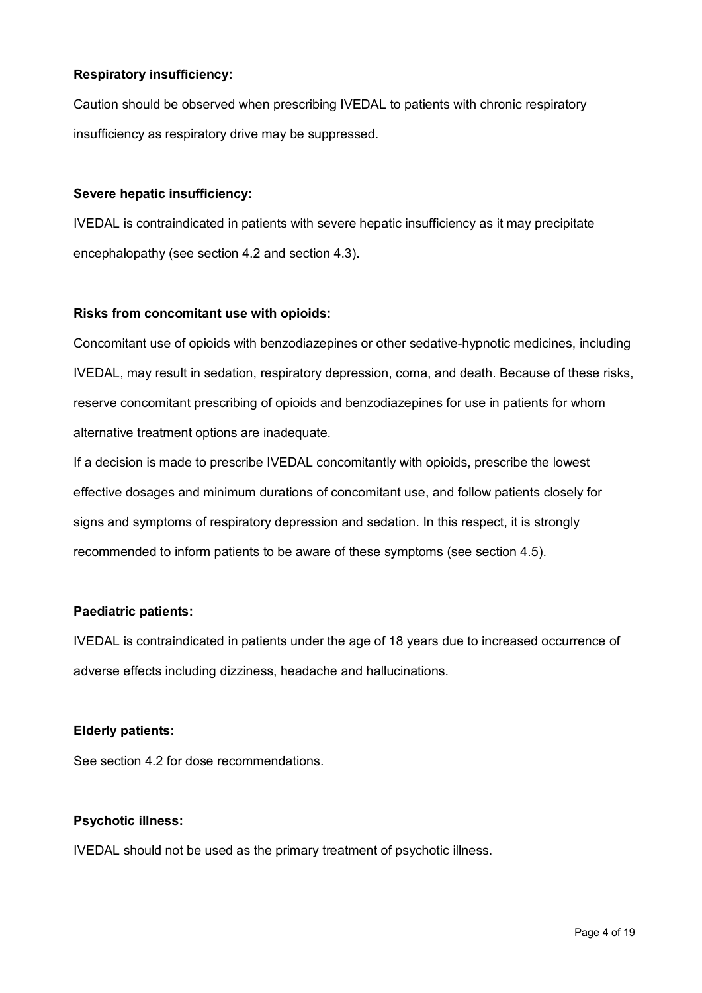# **Respiratory insufficiency:**

Caution should be observed when prescribing IVEDAL to patients with chronic respiratory insufficiency as respiratory drive may be suppressed.

### **Severe hepatic insufficiency:**

IVEDAL is contraindicated in patients with severe hepatic insufficiency as it may precipitate encephalopathy (see section 4.2 and section 4.3).

### **Risks from concomitant use with opioids:**

Concomitant use of opioids with benzodiazepines or other sedative-hypnotic medicines, including IVEDAL, may result in sedation, respiratory depression, coma, and death. Because of these risks, reserve concomitant prescribing of opioids and benzodiazepines for use in patients for whom alternative treatment options are inadequate.

If a decision is made to prescribe IVEDAL concomitantly with opioids, prescribe the lowest effective dosages and minimum durations of concomitant use, and follow patients closely for signs and symptoms of respiratory depression and sedation. In this respect, it is strongly recommended to inform patients to be aware of these symptoms (see section 4.5).

# **Paediatric patients:**

IVEDAL is contraindicated in patients under the age of 18 years due to increased occurrence of adverse effects including dizziness, headache and hallucinations.

# **Elderly patients:**

See section 4.2 for dose recommendations.

# **Psychotic illness:**

IVEDAL should not be used as the primary treatment of psychotic illness.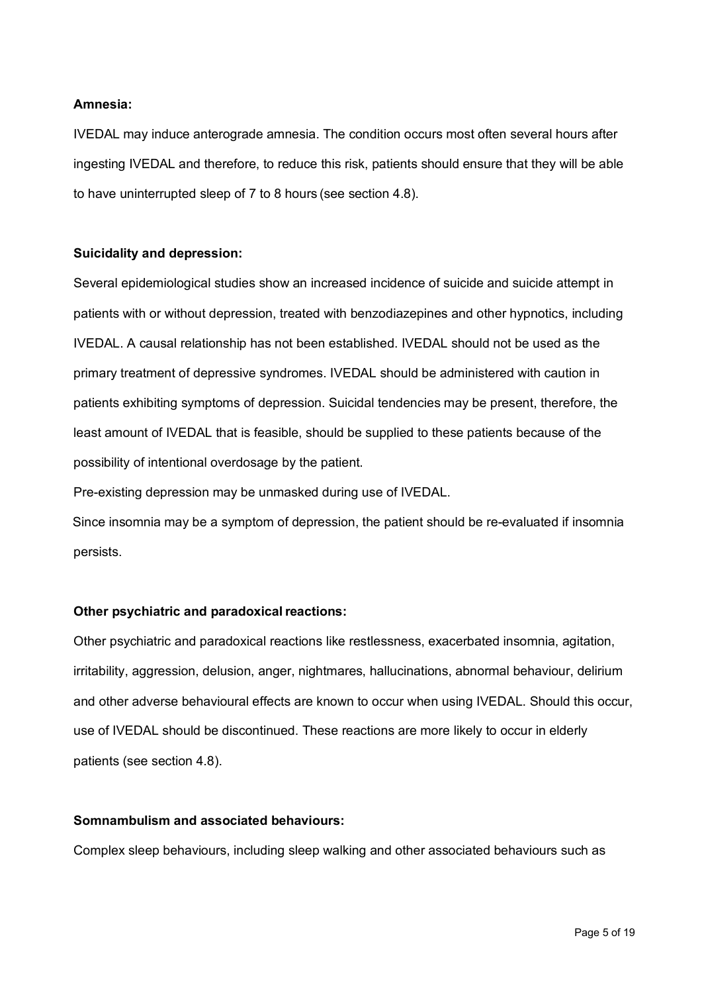#### **Amnesia:**

IVEDAL may induce anterograde amnesia. The condition occurs most often several hours after ingesting IVEDAL and therefore, to reduce this risk, patients should ensure that they will be able to have uninterrupted sleep of 7 to 8 hours (see section 4.8).

#### **Suicidality and depression:**

Several epidemiological studies show an increased incidence of suicide and suicide attempt in patients with or without depression, treated with benzodiazepines and other hypnotics, including IVEDAL. A causal relationship has not been established. IVEDAL should not be used as the primary treatment of depressive syndromes. IVEDAL should be administered with caution in patients exhibiting symptoms of depression. Suicidal tendencies may be present, therefore, the least amount of IVEDAL that is feasible, should be supplied to these patients because of the possibility of intentional overdosage by the patient.

Pre-existing depression may be unmasked during use of IVEDAL.

Since insomnia may be a symptom of depression, the patient should be re-evaluated if insomnia persists.

#### **Other psychiatric and paradoxical reactions:**

Other psychiatric and paradoxical reactions like restlessness, exacerbated insomnia, agitation, irritability, aggression, delusion, anger, nightmares, hallucinations, abnormal behaviour, delirium and other adverse behavioural effects are known to occur when using IVEDAL. Should this occur, use of IVEDAL should be discontinued. These reactions are more likely to occur in elderly patients (see section 4.8).

#### **Somnambulism and associated behaviours:**

Complex sleep behaviours, including sleep walking and other associated behaviours such as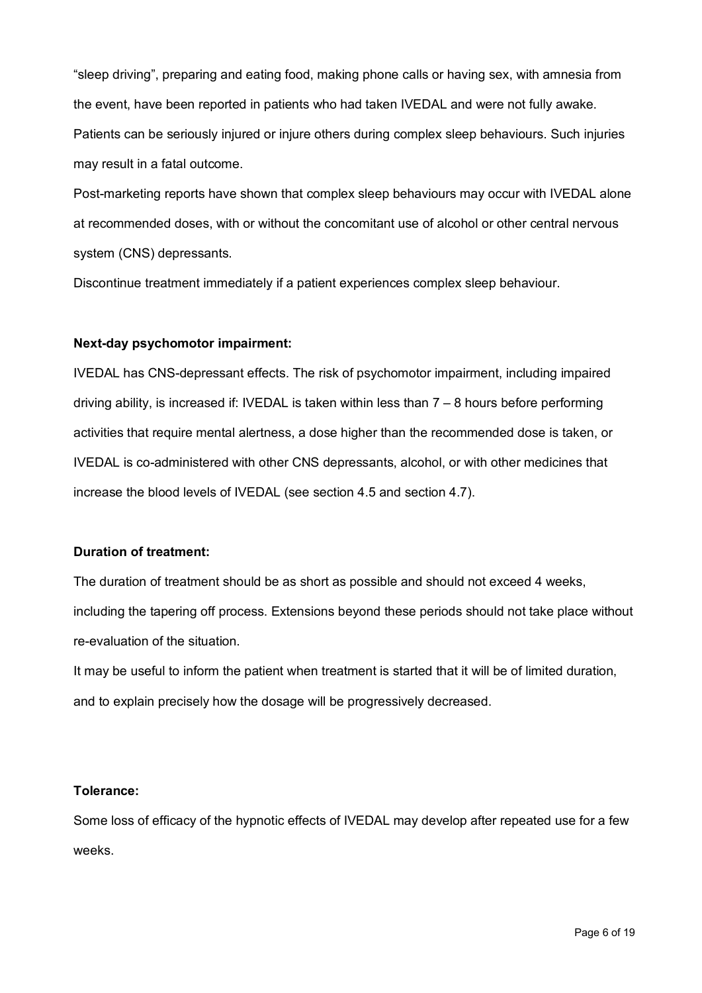"sleep driving", preparing and eating food, making phone calls or having sex, with amnesia from the event, have been reported in patients who had taken IVEDAL and were not fully awake. Patients can be seriously injured or injure others during complex sleep behaviours. Such injuries may result in a fatal outcome.

Post-marketing reports have shown that complex sleep behaviours may occur with IVEDAL alone at recommended doses, with or without the concomitant use of alcohol or other central nervous system (CNS) depressants.

Discontinue treatment immediately if a patient experiences complex sleep behaviour.

# **Next-day psychomotor impairment:**

IVEDAL has CNS-depressant effects. The risk of psychomotor impairment, including impaired driving ability, is increased if: IVEDAL is taken within less than  $7 - 8$  hours before performing activities that require mental alertness, a dose higher than the recommended dose is taken, or IVEDAL is co-administered with other CNS depressants, alcohol, or with other medicines that increase the blood levels of IVEDAL (see section 4.5 and section 4.7).

# **Duration of treatment:**

The duration of treatment should be as short as possible and should not exceed 4 weeks, including the tapering off process. Extensions beyond these periods should not take place without re-evaluation of the situation.

It may be useful to inform the patient when treatment is started that it will be of limited duration, and to explain precisely how the dosage will be progressively decreased.

# **Tolerance:**

Some loss of efficacy of the hypnotic effects of IVEDAL may develop after repeated use for a few weeks.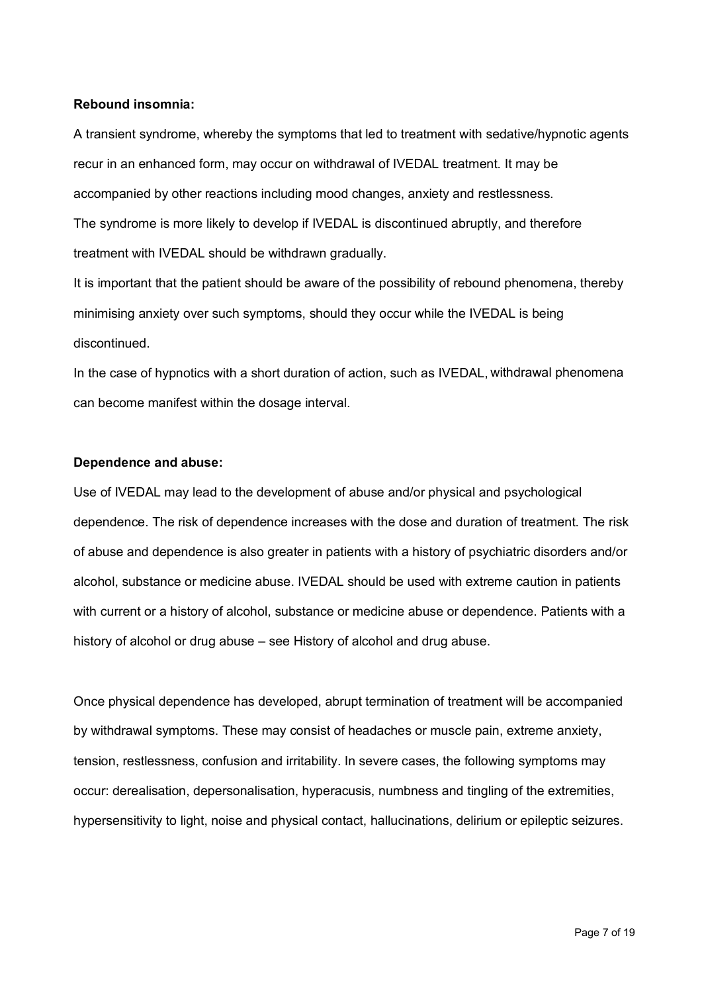### **Rebound insomnia:**

A transient syndrome, whereby the symptoms that led to treatment with sedative/hypnotic agents recur in an enhanced form, may occur on withdrawal of IVEDAL treatment. It may be accompanied by other reactions including mood changes, anxiety and restlessness. The syndrome is more likely to develop if IVEDAL is discontinued abruptly, and therefore treatment with IVEDAL should be withdrawn gradually.

It is important that the patient should be aware of the possibility of rebound phenomena, thereby minimising anxiety over such symptoms, should they occur while the IVEDAL is being discontinued.

In the case of hypnotics with a short duration of action, such as IVEDAL, withdrawal phenomena can become manifest within the dosage interval.

### **Dependence and abuse:**

Use of IVEDAL may lead to the development of abuse and/or physical and psychological dependence. The risk of dependence increases with the dose and duration of treatment. The risk of abuse and dependence is also greater in patients with a history of psychiatric disorders and/or alcohol, substance or medicine abuse. IVEDAL should be used with extreme caution in patients with current or a history of alcohol, substance or medicine abuse or dependence. Patients with a history of alcohol or drug abuse – see History of alcohol and drug abuse.

Once physical dependence has developed, abrupt termination of treatment will be accompanied by withdrawal symptoms. These may consist of headaches or muscle pain, extreme anxiety, tension, restlessness, confusion and irritability. In severe cases, the following symptoms may occur: derealisation, depersonalisation, hyperacusis, numbness and tingling of the extremities, hypersensitivity to light, noise and physical contact, hallucinations, delirium or epileptic seizures.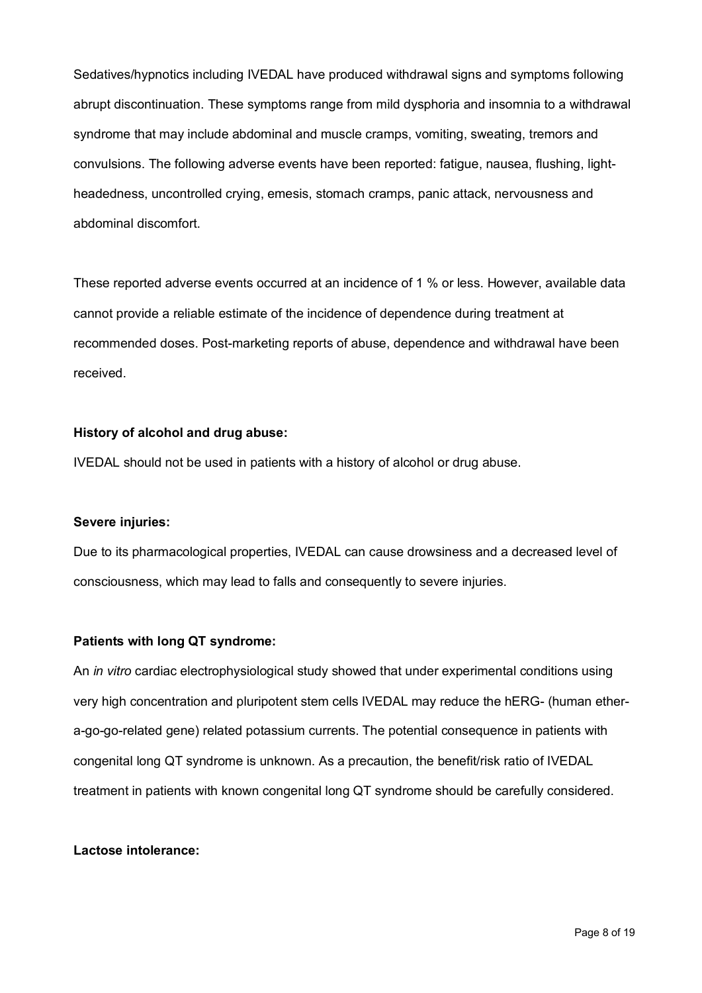Sedatives/hypnotics including IVEDAL have produced withdrawal signs and symptoms following abrupt discontinuation. These symptoms range from mild dysphoria and insomnia to a withdrawal syndrome that may include abdominal and muscle cramps, vomiting, sweating, tremors and convulsions. The following adverse events have been reported: fatigue, nausea, flushing, lightheadedness, uncontrolled crying, emesis, stomach cramps, panic attack, nervousness and abdominal discomfort.

These reported adverse events occurred at an incidence of 1 % or less. However, available data cannot provide a reliable estimate of the incidence of dependence during treatment at recommended doses. Post-marketing reports of abuse, dependence and withdrawal have been received.

### **History of alcohol and drug abuse:**

IVEDAL should not be used in patients with a history of alcohol or drug abuse.

#### **Severe injuries:**

Due to its pharmacological properties, IVEDAL can cause drowsiness and a decreased level of consciousness, which may lead to falls and consequently to severe injuries.

#### **Patients with long QT syndrome:**

An *in vitro* cardiac electrophysiological study showed that under experimental conditions using very high concentration and pluripotent stem cells IVEDAL may reduce the hERG- (human ethera-go-go-related gene) related potassium currents. The potential consequence in patients with congenital long QT syndrome is unknown. As a precaution, the benefit/risk ratio of IVEDAL treatment in patients with known congenital long QT syndrome should be carefully considered.

#### **Lactose intolerance:**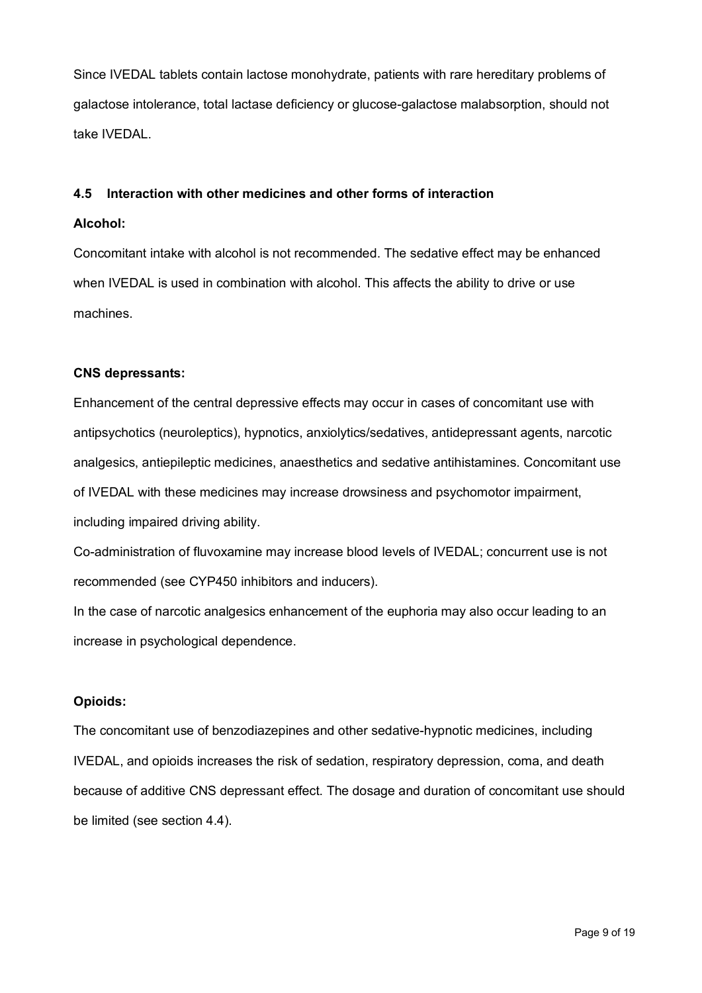Since IVEDAL tablets contain lactose monohydrate, patients with rare hereditary problems of galactose intolerance, total lactase deficiency or glucose-galactose malabsorption, should not take IVEDAL.

### **4.5 Interaction with other medicines and other forms of interaction**

### **Alcohol:**

Concomitant intake with alcohol is not recommended. The sedative effect may be enhanced when IVEDAL is used in combination with alcohol. This affects the ability to drive or use machines.

### **CNS depressants:**

Enhancement of the central depressive effects may occur in cases of concomitant use with antipsychotics (neuroleptics), hypnotics, anxiolytics/sedatives, antidepressant agents, narcotic analgesics, antiepileptic medicines, anaesthetics and sedative antihistamines. Concomitant use of IVEDAL with these medicines may increase drowsiness and psychomotor impairment, including impaired driving ability.

Co-administration of fluvoxamine may increase blood levels of IVEDAL; concurrent use is not recommended (see CYP450 inhibitors and inducers).

In the case of narcotic analgesics enhancement of the euphoria may also occur leading to an increase in psychological dependence.

# **Opioids:**

The concomitant use of benzodiazepines and other sedative-hypnotic medicines, including IVEDAL, and opioids increases the risk of sedation, respiratory depression, coma, and death because of additive CNS depressant effect. The dosage and duration of concomitant use should be limited (see section 4.4).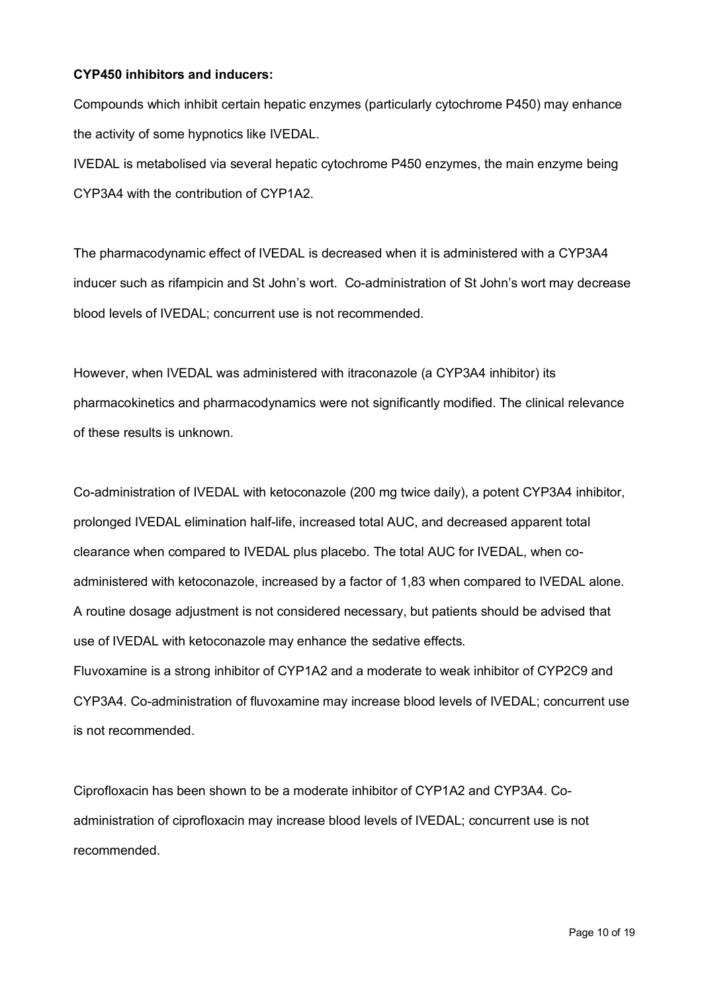### **CYP450 inhibitors and inducers:**

Compounds which inhibit certain hepatic enzymes (particularly cytochrome P450) may enhance the activity of some hypnotics like IVEDAL.

IVEDAL is metabolised via several hepatic cytochrome P450 enzymes, the main enzyme being CYP3A4 with the contribution of CYP1A2.

The pharmacodynamic effect of IVEDAL is decreased when it is administered with a CYP3A4 inducer such as rifampicin and St John's wort. Co-administration of St John's wort may decrease blood levels of IVEDAL; concurrent use is not recommended.

However, when IVEDAL was administered with itraconazole (a CYP3A4 inhibitor) its pharmacokinetics and pharmacodynamics were not significantly modified. The clinical relevance of these results is unknown.

Co-administration of IVEDAL with ketoconazole (200 mg twice daily), a potent CYP3A4 inhibitor, prolonged IVEDAL elimination half-life, increased total AUC, and decreased apparent total clearance when compared to IVEDAL plus placebo. The total AUC for IVEDAL, when coadministered with ketoconazole, increased by a factor of 1,83 when compared to IVEDAL alone. A routine dosage adjustment is not considered necessary, but patients should be advised that use of IVEDAL with ketoconazole may enhance the sedative effects. Fluvoxamine is a strong inhibitor of CYP1A2 and a moderate to weak inhibitor of CYP2C9 and CYP3A4. Co-administration of fluvoxamine may increase blood levels of IVEDAL; concurrent use is not recommended.

Ciprofloxacin has been shown to be a moderate inhibitor of CYP1A2 and CYP3A4. Coadministration of ciprofloxacin may increase blood levels of IVEDAL; concurrent use is not recommended.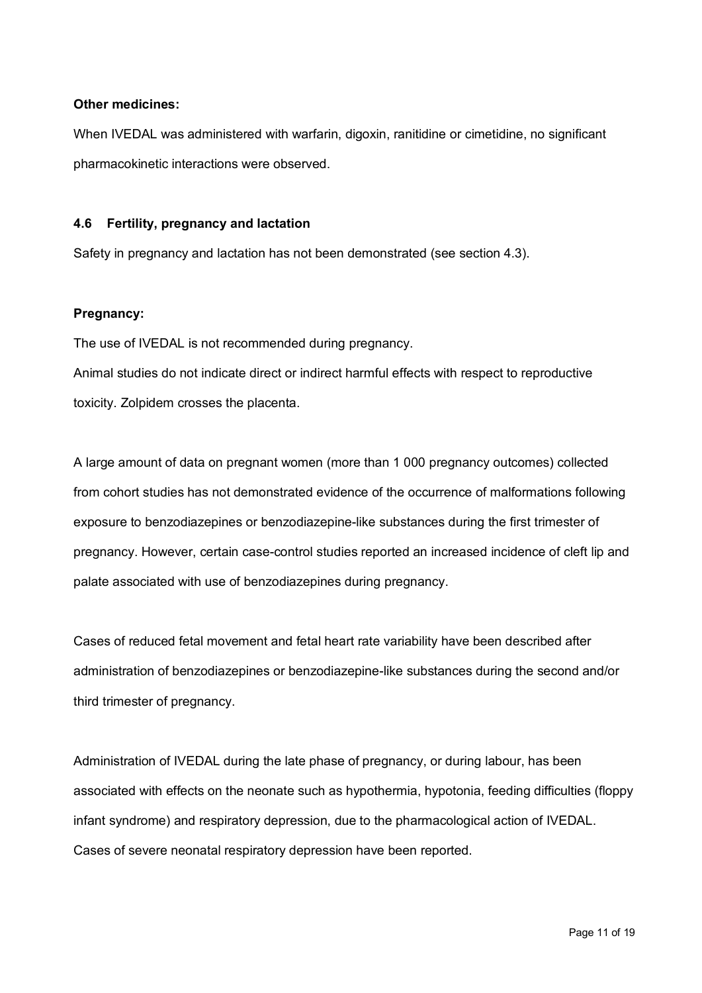### **Other medicines:**

When IVEDAL was administered with warfarin, digoxin, ranitidine or cimetidine, no significant pharmacokinetic interactions were observed.

### **4.6 Fertility, pregnancy and lactation**

Safety in pregnancy and lactation has not been demonstrated (see section 4.3).

### **Pregnancy:**

The use of IVEDAL is not recommended during pregnancy.

Animal studies do not indicate direct or indirect harmful effects with respect to reproductive toxicity. Zolpidem crosses the placenta.

A large amount of data on pregnant women (more than 1 000 pregnancy outcomes) collected from cohort studies has not demonstrated evidence of the occurrence of malformations following exposure to benzodiazepines or benzodiazepine-like substances during the first trimester of pregnancy. However, certain case-control studies reported an increased incidence of cleft lip and palate associated with use of benzodiazepines during pregnancy.

Cases of reduced fetal movement and fetal heart rate variability have been described after administration of benzodiazepines or benzodiazepine-like substances during the second and/or third trimester of pregnancy.

Administration of IVEDAL during the late phase of pregnancy, or during labour, has been associated with effects on the neonate such as hypothermia, hypotonia, feeding difficulties (floppy infant syndrome) and respiratory depression, due to the pharmacological action of IVEDAL. Cases of severe neonatal respiratory depression have been reported.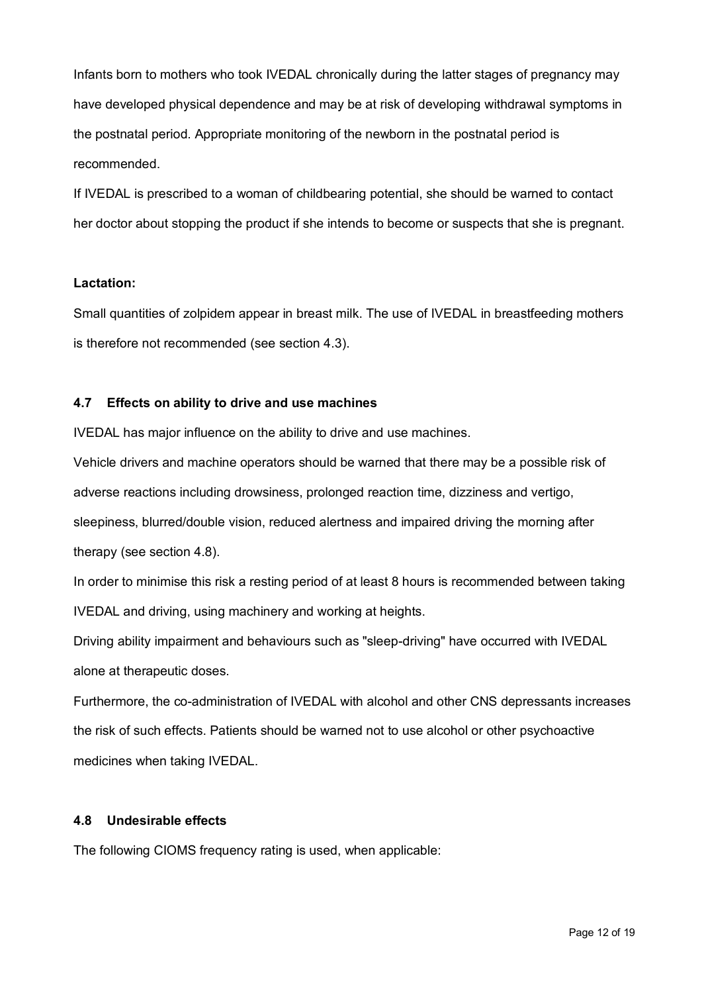Infants born to mothers who took IVEDAL chronically during the latter stages of pregnancy may have developed physical dependence and may be at risk of developing withdrawal symptoms in the postnatal period. Appropriate monitoring of the newborn in the postnatal period is recommended.

If IVEDAL is prescribed to a woman of childbearing potential, she should be warned to contact her doctor about stopping the product if she intends to become or suspects that she is pregnant.

### **Lactation:**

Small quantities of zolpidem appear in breast milk. The use of IVEDAL in breastfeeding mothers is therefore not recommended (see section 4.3).

### **4.7 Effects on ability to drive and use machines**

IVEDAL has major influence on the ability to drive and use machines.

Vehicle drivers and machine operators should be warned that there may be a possible risk of adverse reactions including drowsiness, prolonged reaction time, dizziness and vertigo, sleepiness, blurred/double vision, reduced alertness and impaired driving the morning after therapy (see section 4.8).

In order to minimise this risk a resting period of at least 8 hours is recommended between taking IVEDAL and driving, using machinery and working at heights.

Driving ability impairment and behaviours such as "sleep-driving" have occurred with IVEDAL alone at therapeutic doses.

Furthermore, the co-administration of IVEDAL with alcohol and other CNS depressants increases the risk of such effects. Patients should be warned not to use alcohol or other psychoactive medicines when taking IVEDAL.

### **4.8 Undesirable effects**

The following CIOMS frequency rating is used, when applicable: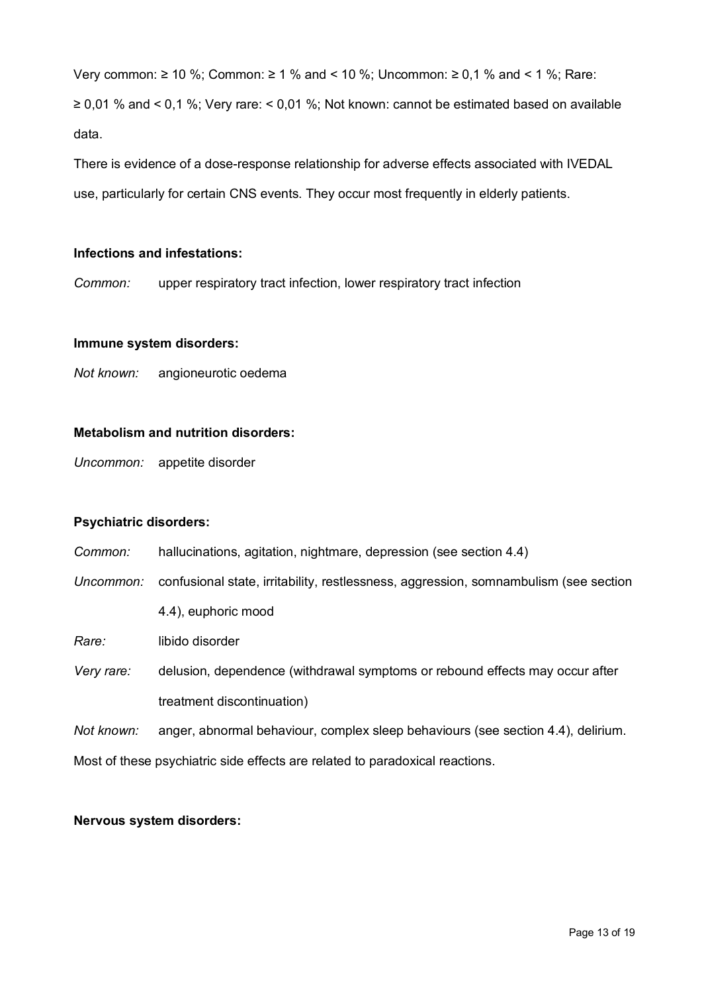Very common:  $\geq 10$  %: Common:  $\geq 1$  % and < 10 %: Uncommon:  $\geq 0.1$  % and < 1 %: Rare:  $\geq$  0,01 % and < 0,1 %; Very rare: < 0,01 %; Not known: cannot be estimated based on available data.

There is evidence of a dose-response relationship for adverse effects associated with IVEDAL use, particularly for certain CNS events. They occur most frequently in elderly patients.

### **Infections and infestations:**

*Common:* upper respiratory tract infection, lower respiratory tract infection

#### **Immune system disorders:**

*Not known:* angioneurotic oedema

### **Metabolism and nutrition disorders:**

*Uncommon:* appetite disorder

### **Psychiatric disorders:**

- *Common:* hallucinations, agitation, nightmare, depression (see section 4.4)
- *Uncommon:* confusional state, irritability, restlessness, aggression, somnambulism (see section 4.4), euphoric mood

*Rare:* libido disorder

*Very rare:* delusion, dependence (withdrawal symptoms or rebound effects may occur after treatment discontinuation)

*Not known:* anger, abnormal behaviour, complex sleep behaviours (see section 4.4), delirium. Most of these psychiatric side effects are related to paradoxical reactions.

#### **Nervous system disorders:**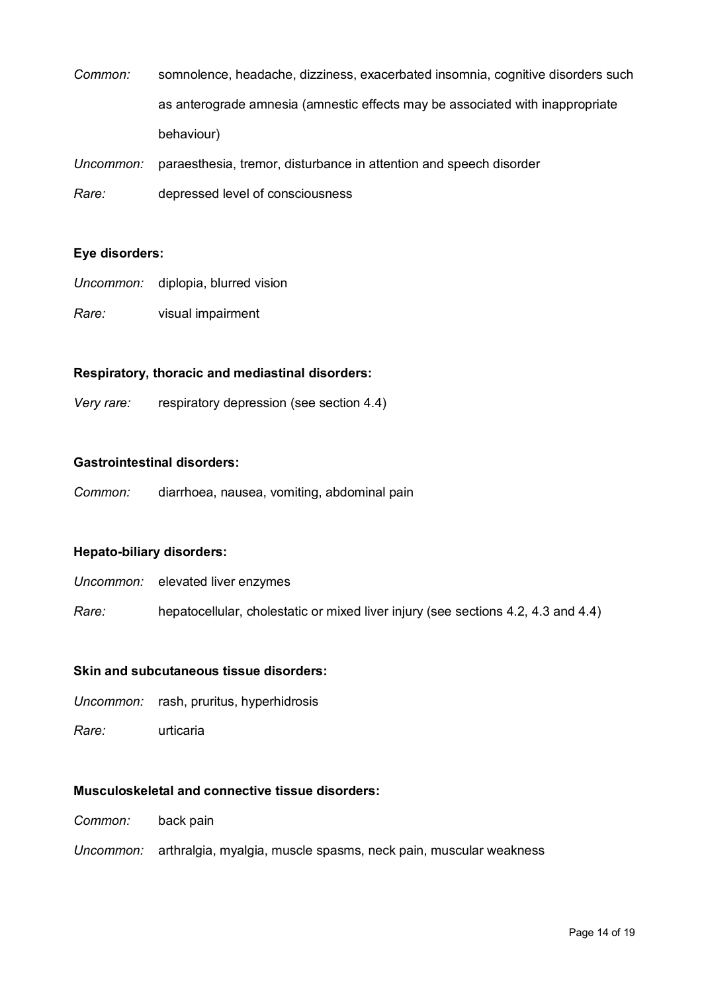| Common: | somnolence, headache, dizziness, exacerbated insomnia, cognitive disorders such |
|---------|---------------------------------------------------------------------------------|
|         | as anterograde amnesia (amnestic effects may be associated with inappropriate   |
|         | behaviour)                                                                      |

*Uncommon:* paraesthesia, tremor, disturbance in attention and speech disorder

*Rare:* depressed level of consciousness

### **Eye disorders:**

- *Uncommon:* diplopia, blurred vision
- *Rare:* visual impairment

### **Respiratory, thoracic and mediastinal disorders:**

*Very rare:* respiratory depression (see section 4.4)

### **Gastrointestinal disorders:**

*Common:* diarrhoea, nausea, vomiting, abdominal pain

### **Hepato-biliary disorders:**

| Uncommon: | elevated liver enzymes |
|-----------|------------------------|
|-----------|------------------------|

*Rare:* hepatocellular, cholestatic or mixed liver injury (see sections 4.2, 4.3 and 4.4)

### **Skin and subcutaneous tissue disorders:**

*Uncommon:* rash, pruritus, hyperhidrosis

*Rare:* urticaria

# **Musculoskeletal and connective tissue disorders:**

- *Common:* back pain
- *Uncommon:* arthralgia, myalgia, muscle spasms, neck pain, muscular weakness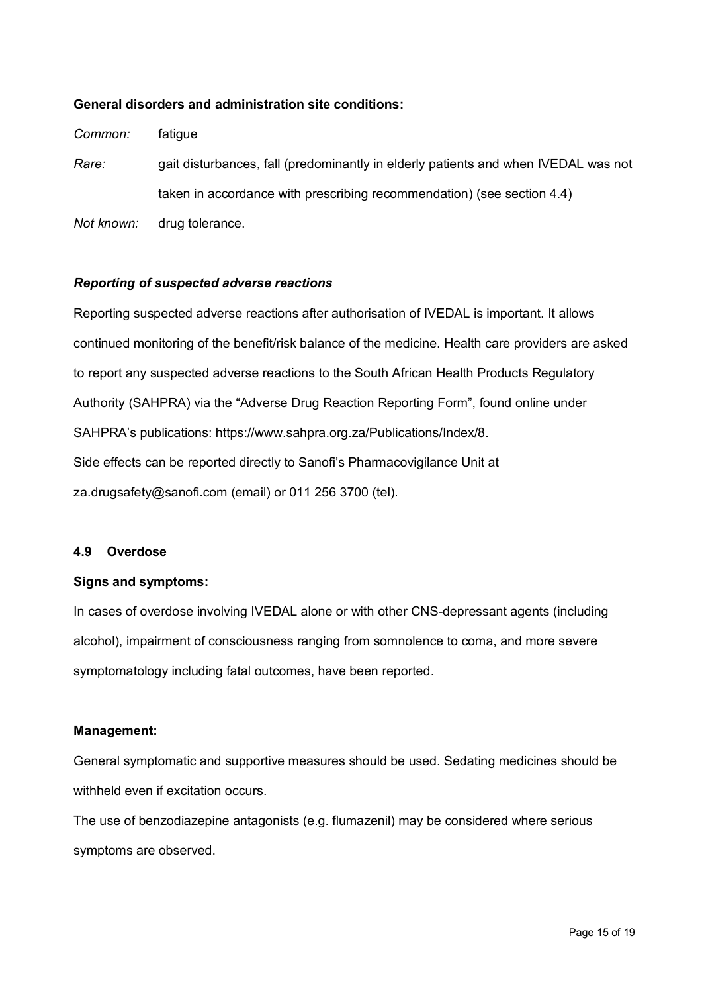### **General disorders and administration site conditions:**

*Common:* fatigue

*Rare:* gait disturbances, fall (predominantly in elderly patients and when IVEDAL was not taken in accordance with prescribing recommendation) (see section 4.4)

*Not known:* drug tolerance.

### *Reporting of suspected adverse reactions*

Reporting suspected adverse reactions after authorisation of IVEDAL is important. It allows continued monitoring of the benefit/risk balance of the medicine. Health care providers are asked to report any suspected adverse reactions to the South African Health Products Regulatory Authority (SAHPRA) via the "Adverse Drug Reaction Reporting Form", found online under SAHPRA's publications: [https://www.sahpra.org.za/Publications/Index/8.](https://www.sahpra.org.za/Publications/Index/8) Side effects can be reported directly to Sanofi's Pharmacovigilance Unit at za.drugsafety@sanofi.com (email) or 011 256 3700 (tel).

### **4.9 Overdose**

### **Signs and symptoms:**

In cases of overdose involving IVEDAL alone or with other CNS-depressant agents (including alcohol), impairment of consciousness ranging from somnolence to coma, and more severe symptomatology including fatal outcomes, have been reported.

### **Management:**

General symptomatic and supportive measures should be used. Sedating medicines should be withheld even if excitation occurs.

The use of benzodiazepine antagonists (e.g. flumazenil) may be considered where serious symptoms are observed.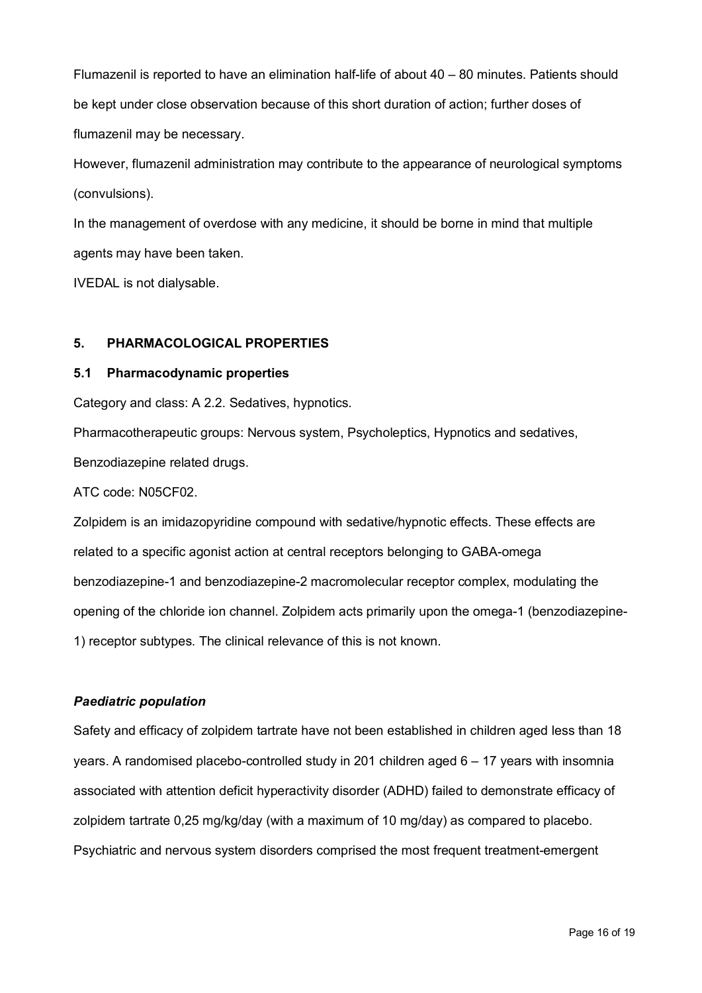Flumazenil is reported to have an elimination half-life of about 40 – 80 minutes. Patients should be kept under close observation because of this short duration of action; further doses of flumazenil may be necessary.

However, flumazenil administration may contribute to the appearance of neurological symptoms (convulsions).

In the management of overdose with any medicine, it should be borne in mind that multiple agents may have been taken.

IVEDAL is not dialysable.

# **5. PHARMACOLOGICAL PROPERTIES**

### **5.1 Pharmacodynamic properties**

Category and class: A 2.2. Sedatives, hypnotics.

Pharmacotherapeutic groups: Nervous system, Psycholeptics, Hypnotics and sedatives, Benzodiazepine related drugs.

ATC code: N05CF02.

Zolpidem is an imidazopyridine compound with sedative/hypnotic effects. These effects are related to a specific agonist action at central receptors belonging to GABA-omega benzodiazepine-1 and benzodiazepine-2 macromolecular receptor complex, modulating the opening of the chloride ion channel. Zolpidem acts primarily upon the omega-1 (benzodiazepine-1) receptor subtypes. The clinical relevance of this is not known.

# *Paediatric population*

Safety and efficacy of zolpidem tartrate have not been established in children aged less than 18 years. A randomised placebo-controlled study in 201 children aged 6 – 17 years with insomnia associated with attention deficit hyperactivity disorder (ADHD) failed to demonstrate efficacy of zolpidem tartrate 0,25 mg/kg/day (with a maximum of 10 mg/day) as compared to placebo. Psychiatric and nervous system disorders comprised the most frequent treatment-emergent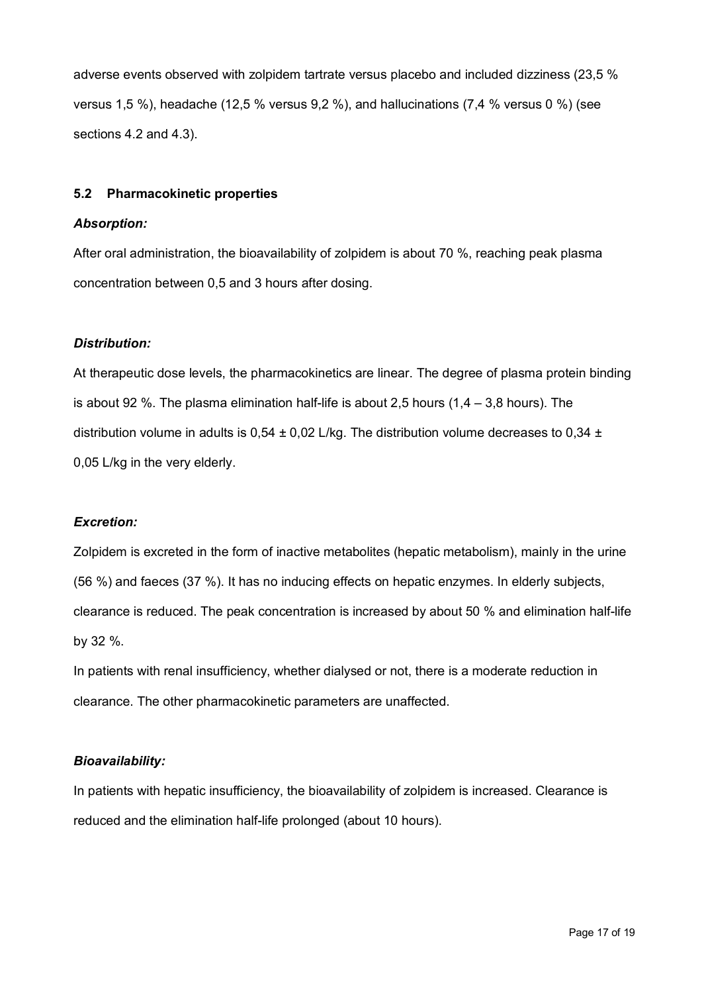adverse events observed with zolpidem tartrate versus placebo and included dizziness (23,5 % versus 1,5 %), headache (12,5 % versus 9,2 %), and hallucinations (7,4 % versus 0 %) (see sections 4.2 and 4.3).

### **5.2 Pharmacokinetic properties**

### *Absorption:*

After oral administration, the bioavailability of zolpidem is about 70 %, reaching peak plasma concentration between 0,5 and 3 hours after dosing.

### *Distribution:*

At therapeutic dose levels, the pharmacokinetics are linear. The degree of plasma protein binding is about 92 %. The plasma elimination half-life is about 2,5 hours  $(1,4 - 3,8$  hours). The distribution volume in adults is  $0.54 \pm 0.02$  L/kg. The distribution volume decreases to  $0.34 \pm 0.02$ 0,05 L/kg in the very elderly.

# *Excretion:*

Zolpidem is excreted in the form of inactive metabolites (hepatic metabolism), mainly in the urine (56 %) and faeces (37 %). It has no inducing effects on hepatic enzymes. In elderly subjects, clearance is reduced. The peak concentration is increased by about 50 % and elimination half-life by 32 %.

In patients with renal insufficiency, whether dialysed or not, there is a moderate reduction in clearance. The other pharmacokinetic parameters are unaffected.

### *Bioavailability:*

In patients with hepatic insufficiency, the bioavailability of zolpidem is increased. Clearance is reduced and the elimination half-life prolonged (about 10 hours).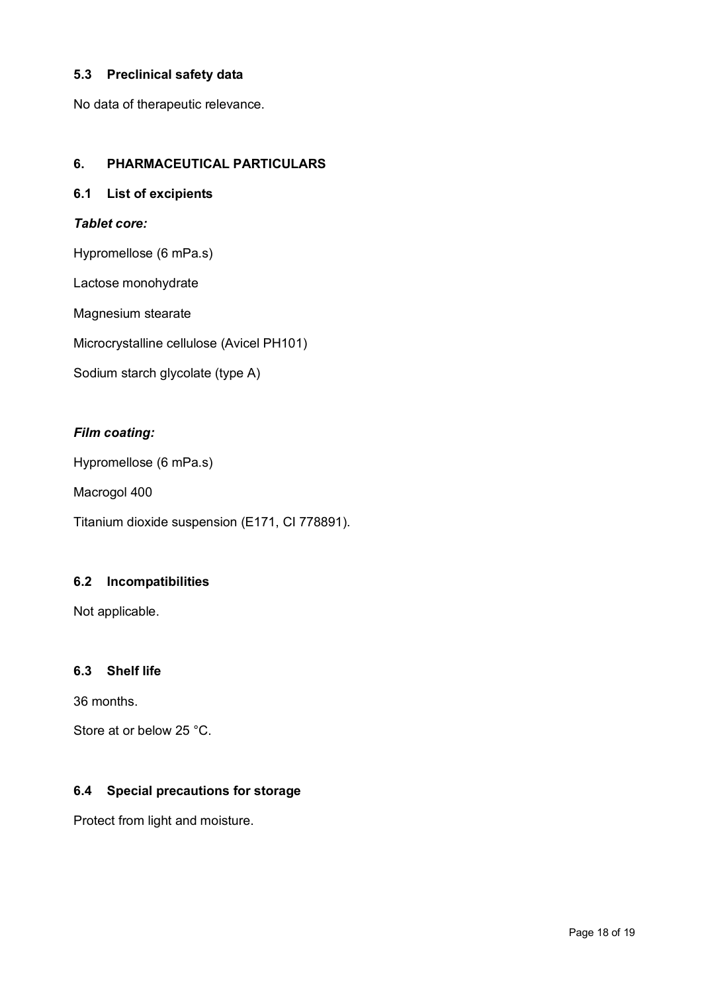# **5.3 Preclinical safety data**

No data of therapeutic relevance.

# **6. PHARMACEUTICAL PARTICULARS**

# **6.1 List of excipients**

# *Tablet core:*

Hypromellose (6 mPa.s)

Lactose monohydrate

Magnesium stearate

Microcrystalline cellulose (Avicel PH101)

Sodium starch glycolate (type A)

# *Film coating:*

Hypromellose (6 mPa.s)

Macrogol 400

Titanium dioxide suspension (E171, CI 778891).

# **6.2 Incompatibilities**

Not applicable.

# **6.3 Shelf life**

36 months.

Store at or below 25 °C.

# **6.4 Special precautions for storage**

Protect from light and moisture.